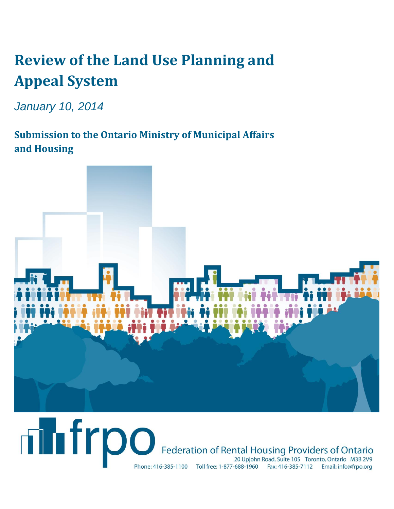# **Review of the Land Use Planning and Appeal System**

*January 10, 2014*

**Submission to the Ontario Ministry of Municipal Affairs and Housing**



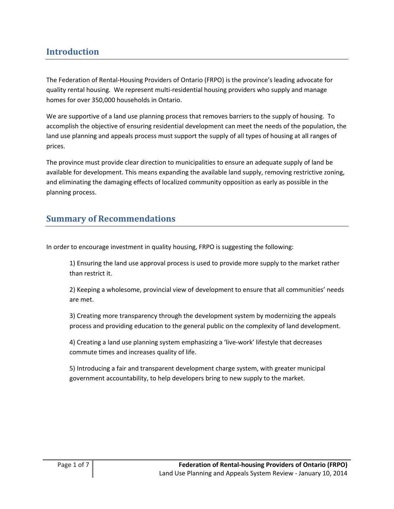## **Introduction**

The Federation of Rental-Housing Providers of Ontario (FRPO) is the province's leading advocate for quality rental housing. We represent multi-residential housing providers who supply and manage homes for over 350,000 households in Ontario.

We are supportive of a land use planning process that removes barriers to the supply of housing. To accomplish the objective of ensuring residential development can meet the needs of the population, the land use planning and appeals process must support the supply of all types of housing at all ranges of prices.

The province must provide clear direction to municipalities to ensure an adequate supply of land be available for development. This means expanding the available land supply, removing restrictive zoning, and eliminating the damaging effects of localized community opposition as early as possible in the planning process.

## **Summary of Recommendations**

In order to encourage investment in quality housing, FRPO is suggesting the following:

1) Ensuring the land use approval process is used to provide more supply to the market rather than restrict it.

2) Keeping a wholesome, provincial view of development to ensure that all communities' needs are met.

3) Creating more transparency through the development system by modernizing the appeals process and providing education to the general public on the complexity of land development.

4) Creating a land use planning system emphasizing a 'live-work' lifestyle that decreases commute times and increases quality of life.

5) Introducing a fair and transparent development charge system, with greater municipal government accountability, to help developers bring to new supply to the market.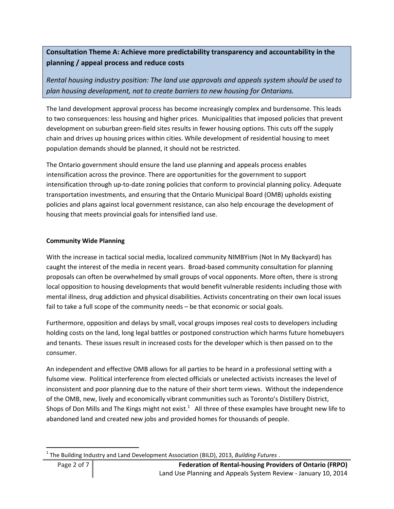### **Consultation Theme A: Achieve more predictability transparency and accountability in the planning / appeal process and reduce costs**

*Rental housing industry position: The land use approvals and appeals system should be used to plan housing development, not to create barriers to new housing for Ontarians.*

The land development approval process has become increasingly complex and burdensome. This leads to two consequences: less housing and higher prices. Municipalities that imposed policies that prevent development on suburban green-field sites results in fewer housing options. This cuts off the supply chain and drives up housing prices within cities. While development of residential housing to meet population demands should be planned, it should not be restricted.

The Ontario government should ensure the land use planning and appeals process enables intensification across the province. There are opportunities for the government to support intensification through up-to-date zoning policies that conform to provincial planning policy. Adequate transportation investments, and ensuring that the Ontario Municipal Board (OMB) upholds existing policies and plans against local government resistance, can also help encourage the development of housing that meets provincial goals for intensified land use.

#### **Community Wide Planning**

With the increase in tactical social media, localized community NIMBYism (Not In My Backyard) has caught the interest of the media in recent years. Broad-based community consultation for planning proposals can often be overwhelmed by small groups of vocal opponents. More often, there is strong local opposition to housing developments that would benefit vulnerable residents including those with mental illness, drug addiction and physical disabilities. Activists concentrating on their own local issues fail to take a full scope of the community needs – be that economic or social goals.

Furthermore, opposition and delays by small, vocal groups imposes real costs to developers including holding costs on the land, long legal battles or postponed construction which harms future homebuyers and tenants. These issues result in increased costs for the developer which is then passed on to the consumer.

An independent and effective OMB allows for all parties to be heard in a professional setting with a fulsome view. Political interference from elected officials or unelected activists increases the level of inconsistent and poor planning due to the nature of their short term views. Without the independence of the OMB, new, lively and economically vibrant communities such as Toronto's Distillery District, Shops of Don Mills and The Kings might not exist.<sup>1</sup> All three of these examples have brought new life to abandoned land and created new jobs and provided homes for thousands of people.

 $\overline{\phantom{a}}$ 1 The Building Industry and Land Development Association (BILD), 2013, *Building Futures* .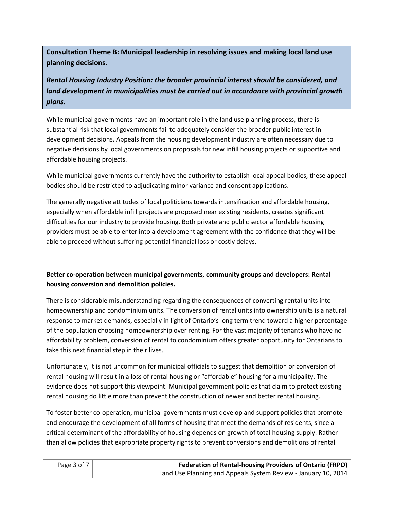**Consultation Theme B: Municipal leadership in resolving issues and making local land use planning decisions.**

*Rental Housing Industry Position: the broader provincial interest should be considered, and land development in municipalities must be carried out in accordance with provincial growth plans.*

While municipal governments have an important role in the land use planning process, there is substantial risk that local governments fail to adequately consider the broader public interest in development decisions. Appeals from the housing development industry are often necessary due to negative decisions by local governments on proposals for new infill housing projects or supportive and affordable housing projects.

While municipal governments currently have the authority to establish local appeal bodies, these appeal bodies should be restricted to adjudicating minor variance and consent applications.

The generally negative attitudes of local politicians towards intensification and affordable housing, especially when affordable infill projects are proposed near existing residents, creates significant difficulties for our industry to provide housing. Both private and public sector affordable housing providers must be able to enter into a development agreement with the confidence that they will be able to proceed without suffering potential financial loss or costly delays.

#### **Better co-operation between municipal governments, community groups and developers: Rental housing conversion and demolition policies.**

There is considerable misunderstanding regarding the consequences of converting rental units into homeownership and condominium units. The conversion of rental units into ownership units is a natural response to market demands, especially in light of Ontario's long term trend toward a higher percentage of the population choosing homeownership over renting. For the vast majority of tenants who have no affordability problem, conversion of rental to condominium offers greater opportunity for Ontarians to take this next financial step in their lives.

Unfortunately, it is not uncommon for municipal officials to suggest that demolition or conversion of rental housing will result in a loss of rental housing or "affordable" housing for a municipality. The evidence does not support this viewpoint. Municipal government policies that claim to protect existing rental housing do little more than prevent the construction of newer and better rental housing.

To foster better co-operation, municipal governments must develop and support policies that promote and encourage the development of all forms of housing that meet the demands of residents, since a critical determinant of the affordability of housing depends on growth of total housing supply. Rather than allow policies that expropriate property rights to prevent conversions and demolitions of rental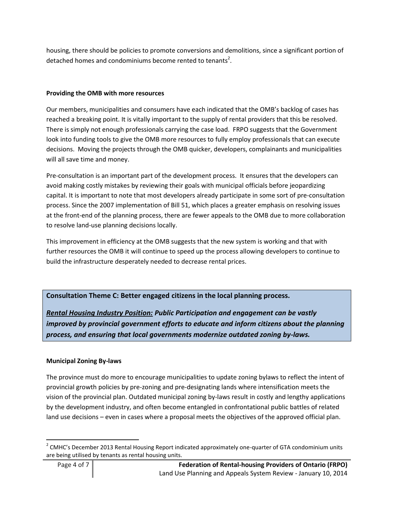housing, there should be policies to promote conversions and demolitions, since a significant portion of detached homes and condominiums become rented to tenants<sup>2</sup>.

#### **Providing the OMB with more resources**

Our members, municipalities and consumers have each indicated that the OMB's backlog of cases has reached a breaking point. It is vitally important to the supply of rental providers that this be resolved. There is simply not enough professionals carrying the case load. FRPO suggests that the Government look into funding tools to give the OMB more resources to fully employ professionals that can execute decisions. Moving the projects through the OMB quicker, developers, complainants and municipalities will all save time and money.

Pre-consultation is an important part of the development process. It ensures that the developers can avoid making costly mistakes by reviewing their goals with municipal officials before jeopardizing capital. It is important to note that most developers already participate in some sort of pre-consultation process. Since the 2007 implementation of Bill 51, which places a greater emphasis on resolving issues at the front-end of the planning process, there are fewer appeals to the OMB due to more collaboration to resolve land-use planning decisions locally.

This improvement in efficiency at the OMB suggests that the new system is working and that with further resources the OMB it will continue to speed up the process allowing developers to continue to build the infrastructure desperately needed to decrease rental prices.

#### **Consultation Theme C: Better engaged citizens in the local planning process.**

*Rental Housing Industry Position: Public Participation and engagement can be vastly improved by provincial government efforts to educate and inform citizens about the planning process, and ensuring that local governments modernize outdated zoning by-laws.*

#### **Municipal Zoning By-laws**

The province must do more to encourage municipalities to update zoning bylaws to reflect the intent of provincial growth policies by pre-zoning and pre-designating lands where intensification meets the vision of the provincial plan. Outdated municipal zoning by-laws result in costly and lengthy applications by the development industry, and often become entangled in confrontational public battles of related land use decisions – even in cases where a proposal meets the objectives of the approved official plan.

l

 $2$  CMHC's December 2013 Rental Housing Report indicated approximately one-quarter of GTA condominium units are being utilised by tenants as rental housing units.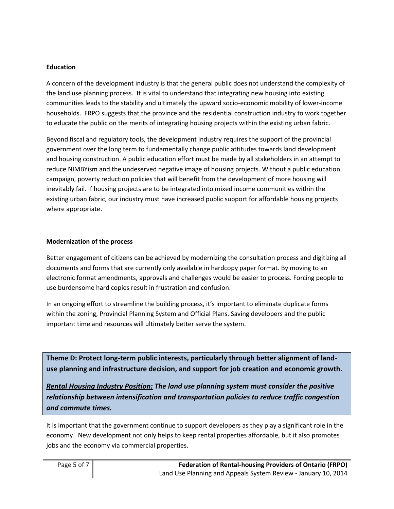#### **Education**

A concern of the development industry is that the general public does not understand the complexity of the land use planning process. It is vital to understand that integrating new housing into existing communities leads to the stability and ultimately the upward socio-economic mobility of lower-income households. FRPO suggests that the province and the residential construction industry to work together to educate the public on the merits of integrating housing projects within the existing urban fabric.

Beyond fiscal and regulatory tools, the development industry requires the support of the provincial government over the long term to fundamentally change public attitudes towards land development and housing construction. A public education effort must be made by all stakeholders in an attempt to reduce NIMBYism and the undeserved negative image of housing projects. Without a public education campaign, poverty reduction policies that will benefit from the development of more housing will inevitably fail. If housing projects are to be integrated into mixed income communities within the existing urban fabric, our industry must have increased public support for affordable housing projects where appropriate.

#### **Modernization of the process**

Better engagement of citizens can be achieved by modernizing the consultation process and digitizing all documents and forms that are currently only available in hardcopy paper format. By moving to an electronic format amendments, approvals and challenges would be easier to process. Forcing people to use burdensome hard copies result in frustration and confusion.

In an ongoing effort to streamline the building process, it's important to eliminate duplicate forms within the zoning, Provincial Planning System and Official Plans. Saving developers and the public important time and resources will ultimately better serve the system.

**Theme D: Protect long-term public interests, particularly through better alignment of landuse planning and infrastructure decision, and support for job creation and economic growth.** 

*Rental Housing Industry Position: The land use planning system must consider the positive relationship between intensification and transportation policies to reduce traffic congestion and commute times.*

It is important that the government continue to support developers as they play a significant role in the economy. New development not only helps to keep rental properties affordable, but it also promotes jobs and the economy via commercial properties.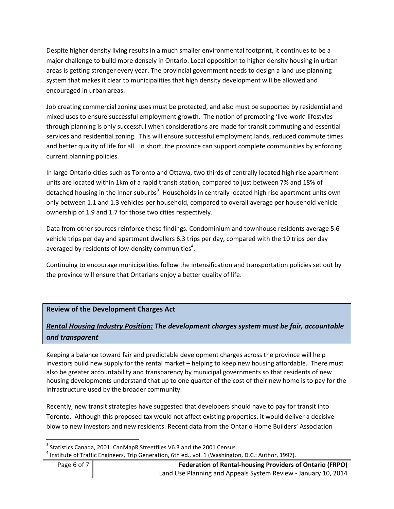Despite higher density living results in a much smaller environmental footprint, it continues to be a major challenge to build more densely in Ontario. Local opposition to higher density housing in urban areas is getting stronger every year. The provincial government needs to design a land use planning system that makes it clear to municipalities that high density development will be allowed and encouraged in urban areas.

Job creating commercial zoning uses must be protected, and also must be supported by residential and mixed uses to ensure successful employment growth. The notion of promoting 'live-work' lifestyles through planning is only successful when considerations are made for transit commuting and essential services and residential zoning. This will ensure successful employment lands, reduced commute times and better quality of life for all. In short, the province can support complete communities by enforcing current planning policies.

In large Ontario cities such as Toronto and Ottawa, two thirds of centrally located high rise apartment units are located within 1km of a rapid transit station, compared to just between 7% and 18% of detached housing in the inner suburbs<sup>3</sup>. Households in centrally located high rise apartment units own only between 1.1 and 1.3 vehicles per household, compared to overall average per household vehicle ownership of 1.9 and 1.7 for those two cities respectively.

Data from other sources reinforce these findings. Condominium and townhouse residents average 5.6 vehicle trips per day and apartment dwellers 6.3 trips per day, compared with the 10 trips per day averaged by residents of low-density communities $^4$ .

Continuing to encourage municipalities follow the intensification and transportation policies set out by the province will ensure that Ontarians enjoy a better quality of life.

#### **Review of the Development Charges Act**

## *Rental Housing Industry Position: The development charges system must be fair, accountable and transparent*

Keeping a balance toward fair and predictable development charges across the province will help investors build new supply for the rental market – helping to keep new housing affordable. There must also be greater accountability and transparency by municipal governments so that residents of new housing developments understand that up to one quarter of the cost of their new home is to pay for the infrastructure used by the broader community.

Recently, new transit strategies have suggested that developers should have to pay for transit into Toronto. Although this proposed tax would not affect existing properties, it would deliver a decisive blow to new investors and new residents. Recent data from the Ontario Home Builders' Association

l

 $^3$  Statistics Canada, 2001. CanMapR Streetfiles V6.3 and the 2001 Census.

 $^4$  Institute of Traffic Engineers, Trip Generation, 6th ed., vol. 1 (Washington, D.C.: Author, 1997).